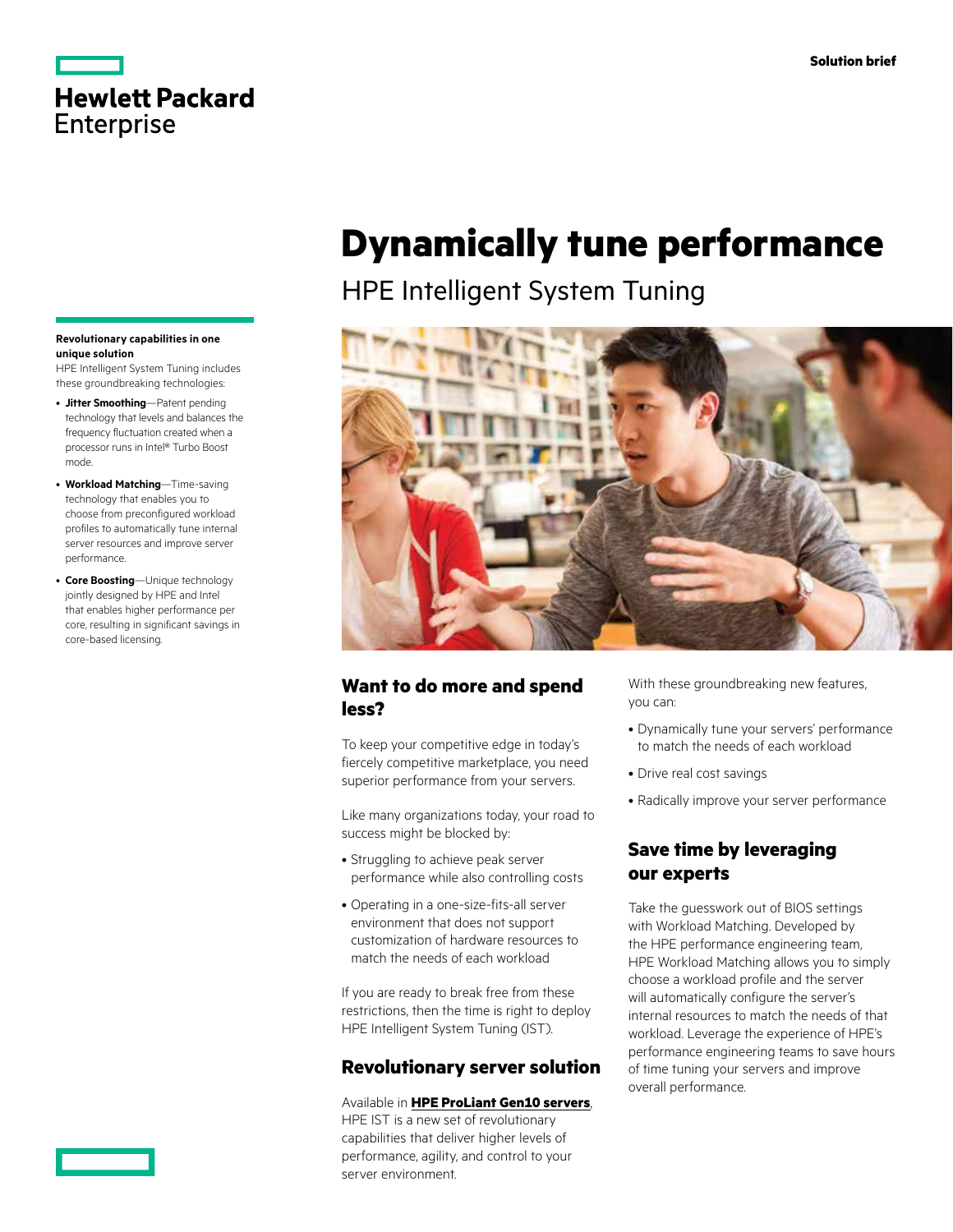### **Hewlett Packard Enterprise**

#### **Revolutionary capabilities in one unique solution**

HPE Intelligent System Tuning includes these groundbreaking technologies:

- **Jitter Smoothing**—Patent pending technology that levels and balances the frequency fluctuation created when a processor runs in Intel® Turbo Boost mode.
- **Workload Matching**—Time-saving technology that enables you to choose from preconfigured workload profiles to automatically tune internal server resources and improve server performance.
- **Core Boosting**—Unique technology jointly designed by HPE and Intel that enables higher performance per core, resulting in significant savings in core-based licensing.

## **Dynamically tune performance**

HPE Intelligent System Tuning



### **Want to do more and spend less?**

To keep your competitive edge in today's fiercely competitive marketplace, you need superior performance from your servers.

Like many organizations today, your road to success might be blocked by:

- Struggling to achieve peak server performance while also controlling costs
- Operating in a one-size-fits-all server environment that does not support customization of hardware resources to match the needs of each workload

If you are ready to break free from these restrictions, then the time is right to deploy HPE Intelligent System Tuning (IST).

### **Revolutionary server solution**

Available in **[HPE ProLiant Gen10 servers](https://www.hpe.com/us/en/solutions/data-center-infrastructure.html?pp=false&jumpid=ps_df5pc7e8hn_aid-510290804&gclid=CMGx45mp99QCFTMUfgodWMwC1Q&gclsrc=ds)**, HPE IST is a new set of revolutionary capabilities that deliver higher levels of performance, agility, and control to your server environment.

With these groundbreaking new features, you can:

- Dynamically tune your servers' performance to match the needs of each workload
- Drive real cost savings
- Radically improve your server performance

### **Save time by leveraging our experts**

Take the guesswork out of BIOS settings with Workload Matching. Developed by the HPE performance engineering team, HPE Workload Matching allows you to simply choose a workload profile and the server will automatically configure the server's internal resources to match the needs of that workload. Leverage the experience of HPE's performance engineering teams to save hours of time tuning your servers and improve overall performance.